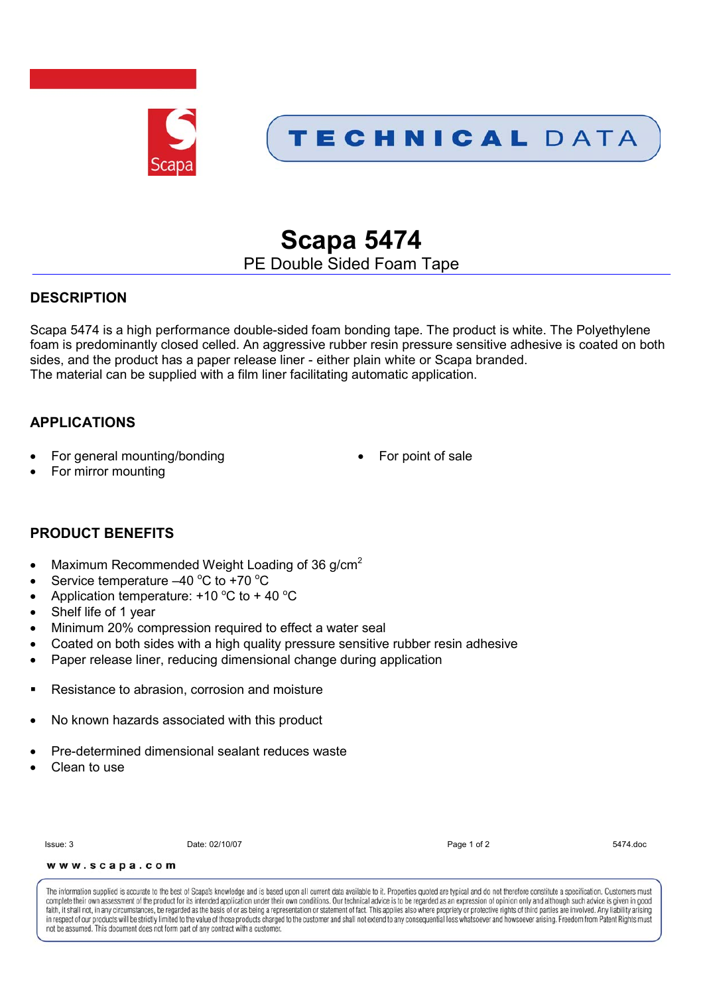

# **Scapa 5474**

PE Double Sided Foam Tape

# **DESCRIPTION**

Scapa 5474 is a high performance double-sided foam bonding tape. The product is white. The Polyethylene foam is predominantly closed celled. An aggressive rubber resin pressure sensitive adhesive is coated on both sides, and the product has a paper release liner - either plain white or Scapa branded. The material can be supplied with a film liner facilitating automatic application.

# **APPLICATIONS**

- For general mounting/bonding **For point of sale** For point of sale
- 

For mirror mounting

# **PRODUCT BENEFITS**

- Maximum Recommended Weight Loading of 36  $q/cm<sup>2</sup>$
- Service temperature  $-40$  °C to +70 °C
- Application temperature:  $+10\degree C$  to  $+40\degree C$
- Shelf life of 1 year
- Minimum 20% compression required to effect a water seal
- Coated on both sides with a high quality pressure sensitive rubber resin adhesive
- Paper release liner, reducing dimensional change during application
- Resistance to abrasion, corrosion and moisture
- No known hazards associated with this product
- Pre-determined dimensional sealant reduces waste
- Clean to use

Issue: 3 Date: 02/10/07 Page 1 of 2 5474.doc

www.scapa.com

The information supplied is accurate to the best of Scapa's knowledge and is based upon all current data available to it. Properties quoted are typical and do not therefore constitute a specification. Customers must complete their own assessment of the product for its intended application under their own conditions. Our technical advice is to be regarded as an expression of opinion only and although such advice is given in good faith, it shall not, in any circumstances, be regarded as the basis of or as being a representation or statement of fact. This applies also where propriety or protective rights of third parties are involved. Any liability in respect of our products will be strictly limited to the value of those products charged to the customer and shall not extend to any consequential loss whatsoever and how soever arising. Freedom from Patent Rights must not be assumed. This document does not form part of any contract with a customer.